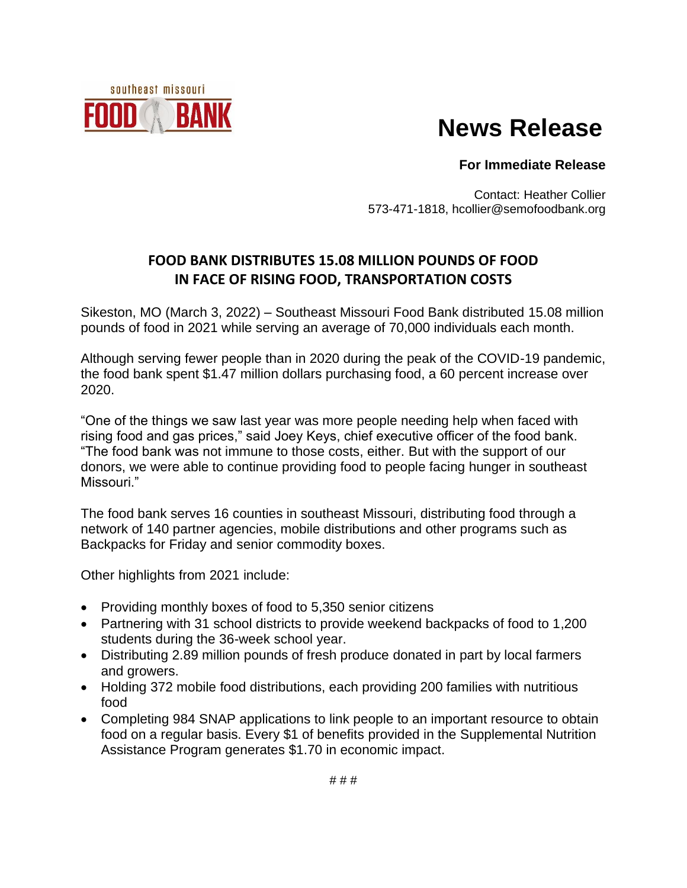

## **News Release**

## **For Immediate Release**

Contact: Heather Collier 573-471-1818, hcollier@semofoodbank.org

## **FOOD BANK DISTRIBUTES 15.08 MILLION POUNDS OF FOOD IN FACE OF RISING FOOD, TRANSPORTATION COSTS**

Sikeston, MO (March 3, 2022) – Southeast Missouri Food Bank distributed 15.08 million pounds of food in 2021 while serving an average of 70,000 individuals each month.

Although serving fewer people than in 2020 during the peak of the COVID-19 pandemic, the food bank spent \$1.47 million dollars purchasing food, a 60 percent increase over 2020.

"One of the things we saw last year was more people needing help when faced with rising food and gas prices," said Joey Keys, chief executive officer of the food bank. "The food bank was not immune to those costs, either. But with the support of our donors, we were able to continue providing food to people facing hunger in southeast Missouri<sup>"</sup>

The food bank serves 16 counties in southeast Missouri, distributing food through a network of 140 partner agencies, mobile distributions and other programs such as Backpacks for Friday and senior commodity boxes.

Other highlights from 2021 include:

- Providing monthly boxes of food to 5,350 senior citizens
- Partnering with 31 school districts to provide weekend backpacks of food to 1,200 students during the 36-week school year.
- Distributing 2.89 million pounds of fresh produce donated in part by local farmers and growers.
- Holding 372 mobile food distributions, each providing 200 families with nutritious food
- Completing 984 SNAP applications to link people to an important resource to obtain food on a regular basis. Every \$1 of benefits provided in the Supplemental Nutrition Assistance Program generates \$1.70 in economic impact.